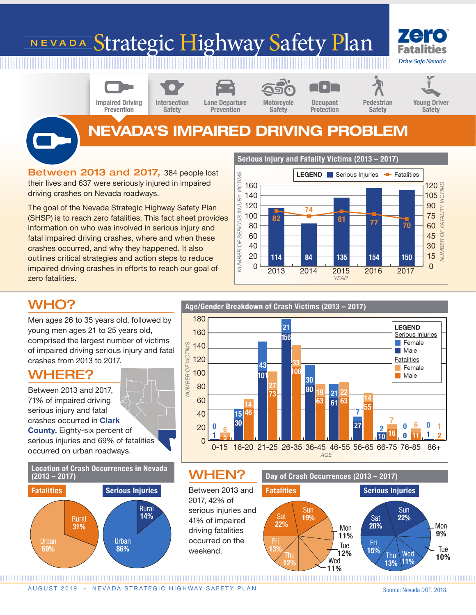# NEVADA Strategic Highway Safety Plan



Impaired Driving **Prevention** 

Intersection **Safety** 

Lane Departure Prevention

Motorcycle Safety

**Occupant** Protection Young Driver Safety

## NEVADA'S IMPAIRED DRIVING PROBLEM

Between 2013 and 2017, 384 people lost their lives and 637 were seriously injured in impaired driving crashes on Nevada roadways.

The goal of the Nevada Strategic Highway Safety Plan (SHSP) is to reach zero fatalities. This fact sheet provides information on who was involved in serious injury and fatal impaired driving crashes, where and when these crashes occurred, and why they happened. It also outlines critical strategies and action steps to reduce impaired driving crashes in efforts to reach our goal of zero fatalities.

Serious Injury and Fatality Victims (2013 – 2017)



### WHO?

Men ages 26 to 35 years old, followed by young men ages 21 to 25 years old, comprised the largest number of victims of impaired driving serious injury and fatal crashes from 2013 to 2017.

### WHERE?

Between 2013 and 2017, 71% of impaired driving serious injury and fatal crashes occurred in Clark County. Eighty-six percent of serious injuries and 69% of fatalities occurred on urban roadways.



Age/Gender Breakdown of Crash Victims (2013 – 2017) 180 LEGEND 21 160 Serious Injuries 156 **Female** VICTIMS 140 *NUMBER OF VICTIMS* **Male** 120 **Fatalities** 33 43 Female NUMBER OF 100 106 101 Male 30 80 27 80 19 <mark>-</mark> 21 <sup>22</sup> 73 14 60 63 61 63 14 55 7 40 15 46  $\frac{7}{6} - 0 - 6 - 0 - 1$ 30 27  $2 \frac{1}{10} - 0 - 6 - 0$ 20 0 6  $16$  0 11  $12$ 1 10 <sup>16</sup> 0 11 1 5  $\Omega$ 

*AGE* 0-15 16-20 21-25 26-35 36-45 46-55 56-65 66-75 76-85 86+

### WHEN?

Between 2013 and 2017, 42% of serious injuries and 14% 41% of impaired Sat driving fatalities occurred on the weekend.



AUGUST 2019 » NEVADA STRATEGIC HIGHWAY SAFETY PLAN

Source: Nevada DOT, 2018.